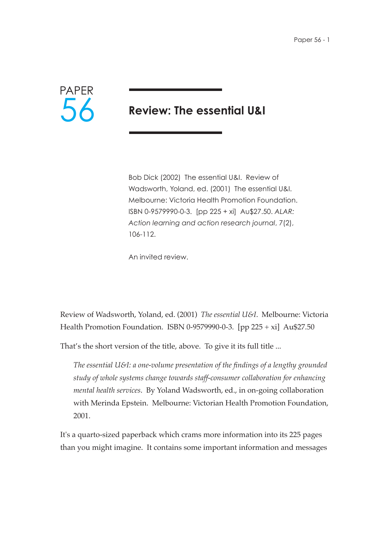

# **Review: The essential U&I**

Bob Dick (2002) The essential U&I. Review of Wadsworth, Yoland, ed. (2001) The essential U&I. Melbourne: Victoria Health Promotion Foundation. ISBN 0-9579990-0-3. [pp 225 + xi] Au\$27.50. *ALAR: Action learning and action research journal*, 7(2), 106-112.

An invited review.

Review of Wadsworth, Yoland, ed. (2001) *The essential U&I*. Melbourne: Victoria Health Promotion Foundation. ISBN 0-9579990-0-3. [pp 225 + xi] Au\$27.50

That's the short version of the title, above. To give it its full title ...

*The essential U&I: a one-volume presentation of the findings of a lengthy grounded study of whole systems change towards staff-consumer collaboration for enhancing mental health services*. By Yoland Wadsworth, ed., in on-going collaboration with Merinda Epstein. Melbourne: Victorian Health Promotion Foundation, 2001.

It's a quarto-sized paperback which crams more information into its 225 pages than you might imagine. It contains some important information and messages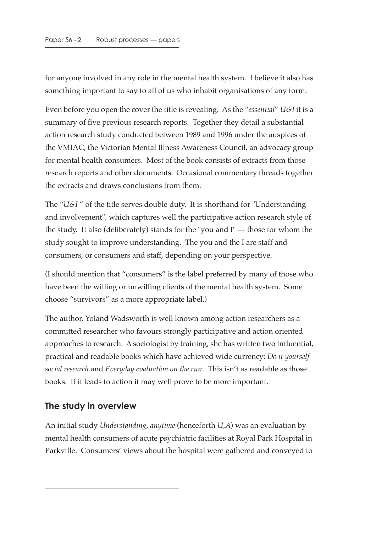for anyone involved in any role in the mental health system. I believe it also has something important to say to all of us who inhabit organisations of any form.

Even before you open the cover the title is revealing. As the "*essential*" *U&I* it is a summary of five previous research reports. Together they detail a substantial action research study conducted between 1989 and 1996 under the auspices of the VMIAC, the Victorian Mental Illness Awareness Council, an advocacy group for mental health consumers. Most of the book consists of extracts from those research reports and other documents. Occasional commentary threads together the extracts and draws conclusions from them.

The "*U&I* " of the title serves double duty. It is shorthand for "Understanding and involvement", which captures well the participative action research style of the study. It also (deliberately) stands for the "you and I" — those for whom the study sought to improve understanding. The you and the I are staff and consumers, or consumers and staff, depending on your perspective.

(I should mention that "consumers" is the label preferred by many of those who have been the willing or unwilling clients of the mental health system. Some choose "survivors" as a more appropriate label.)

The author, Yoland Wadsworth is well known among action researchers as a committed researcher who favours strongly participative and action oriented approaches to research. A sociologist by training, she has written two influential, practical and readable books which have achieved wide currency: *Do it yourself social research* and *Everyday evaluation on the run*. This isn't as readable as those books. If it leads to action it may well prove to be more important.

#### **The study in overview**

An initial study *Understanding, anytime* (henceforth *U,A*) was an evaluation by mental health consumers of acute psychiatric facilities at Royal Park Hospital in Parkville. Consumers' views about the hospital were gathered and conveyed to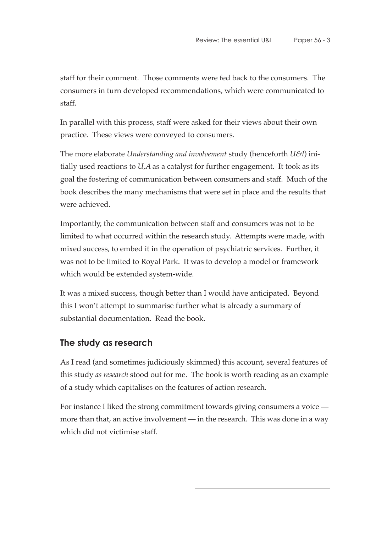staff for their comment. Those comments were fed back to the consumers. The consumers in turn developed recommendations, which were communicated to staff.

In parallel with this process, staff were asked for their views about their own practice. These views were conveyed to consumers.

The more elaborate *Understanding and involvement* study (henceforth *U&I*) initially used reactions to *U,A* as a catalyst for further engagement. It took as its goal the fostering of communication between consumers and staff. Much of the book describes the many mechanisms that were set in place and the results that were achieved.

Importantly, the communication between staff and consumers was not to be limited to what occurred within the research study. Attempts were made, with mixed success, to embed it in the operation of psychiatric services. Further, it was not to be limited to Royal Park. It was to develop a model or framework which would be extended system-wide.

It was a mixed success, though better than I would have anticipated. Beyond this I won't attempt to summarise further what is already a summary of substantial documentation. Read the book.

## **The study as research**

As I read (and sometimes judiciously skimmed) this account, several features of this study *as research* stood out for me. The book is worth reading as an example of a study which capitalises on the features of action research.

For instance I liked the strong commitment towards giving consumers a voice more than that, an active involvement — in the research. This was done in a way which did not victimise staff.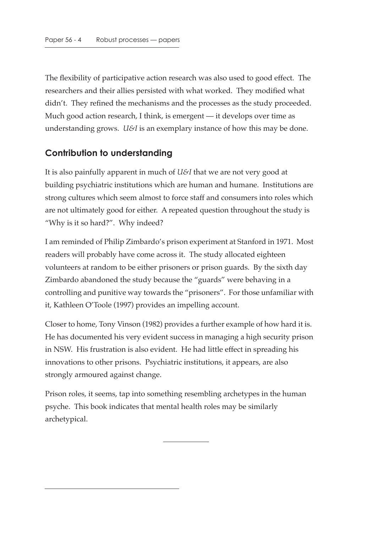The flexibility of participative action research was also used to good effect. The researchers and their allies persisted with what worked. They modified what didn't. They refined the mechanisms and the processes as the study proceeded. Much good action research, I think, is emergent — it develops over time as understanding grows. *U&I* is an exemplary instance of how this may be done.

## **Contribution to understanding**

It is also painfully apparent in much of *U&I* that we are not very good at building psychiatric institutions which are human and humane. Institutions are strong cultures which seem almost to force staff and consumers into roles which are not ultimately good for either. A repeated question throughout the study is "Why is it so hard?". Why indeed?

I am reminded of Philip Zimbardo's prison experiment at Stanford in 1971. Most readers will probably have come across it. The study allocated eighteen volunteers at random to be either prisoners or prison guards. By the sixth day Zimbardo abandoned the study because the "guards" were behaving in a controlling and punitive way towards the "prisoners". For those unfamiliar with it, Kathleen O'Toole (1997) provides an impelling account.

Closer to home, Tony Vinson (1982) provides a further example of how hard it is. He has documented his very evident success in managing a high security prison in NSW. His frustration is also evident. He had little effect in spreading his innovations to other prisons. Psychiatric institutions, it appears, are also strongly armoured against change.

Prison roles, it seems, tap into something resembling archetypes in the human psyche. This book indicates that mental health roles may be similarly archetypical.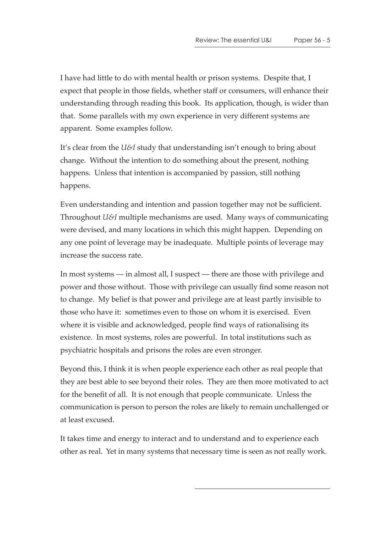I have had little to do with mental health or prison systems. Despite that, I expect that people in those fields, whether staff or consumers, will enhance their understanding through reading this book. Its application, though, is wider than that. Some parallels with my own experience in very different systems are apparent. Some examples follow.

It's clear from the *U&I* study that understanding isn't enough to bring about change. Without the intention to do something about the present, nothing happens. Unless that intention is accompanied by passion, still nothing happens.

Even understanding and intention and passion together may not be sufficient. Throughout *U&I* multiple mechanisms are used. Many ways of communicating were devised, and many locations in which this might happen. Depending on any one point of leverage may be inadequate. Multiple points of leverage may increase the success rate.

In most systems — in almost all, I suspect — there are those with privilege and power and those without. Those with privilege can usually find some reason not to change. My belief is that power and privilege are at least partly invisible to those who have it: sometimes even to those on whom it is exercised. Even where it is visible and acknowledged, people find ways of rationalising its existence. In most systems, roles are powerful. In total institutions such as psychiatric hospitals and prisons the roles are even stronger.

Beyond this, I think it is when people experience each other as real people that they are best able to see beyond their roles. They are then more motivated to act for the benefit of all. It is not enough that people communicate. Unless the communication is person to person the roles are likely to remain unchallenged or at least excused.

It takes time and energy to interact and to understand and to experience each other as real. Yet in many systems that necessary time is seen as not really work.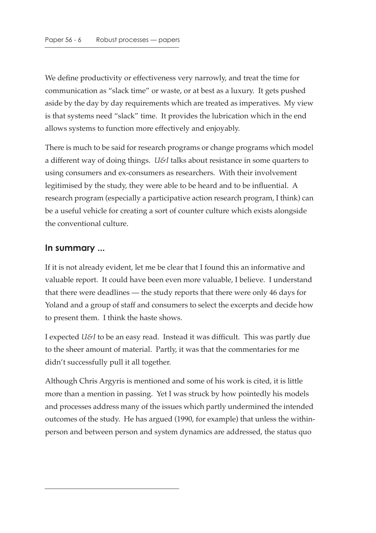We define productivity or effectiveness very narrowly, and treat the time for communication as "slack time" or waste, or at best as a luxury. It gets pushed aside by the day by day requirements which are treated as imperatives. My view is that systems need "slack" time. It provides the lubrication which in the end allows systems to function more effectively and enjoyably.

There is much to be said for research programs or change programs which model a different way of doing things. *U&I* talks about resistance in some quarters to using consumers and ex-consumers as researchers. With their involvement legitimised by the study, they were able to be heard and to be influential. A research program (especially a participative action research program, I think) can be a useful vehicle for creating a sort of counter culture which exists alongside the conventional culture.

#### **In summary ...**

If it is not already evident, let me be clear that I found this an informative and valuable report. It could have been even more valuable, I believe. I understand that there were deadlines — the study reports that there were only 46 days for Yoland and a group of staff and consumers to select the excerpts and decide how to present them. I think the haste shows.

I expected *U&I* to be an easy read. Instead it was difficult. This was partly due to the sheer amount of material. Partly, it was that the commentaries for me didn't successfully pull it all together.

Although Chris Argyris is mentioned and some of his work is cited, it is little more than a mention in passing. Yet I was struck by how pointedly his models and processes address many of the issues which partly undermined the intended outcomes of the study. He has argued (1990, for example) that unless the withinperson and between person and system dynamics are addressed, the status quo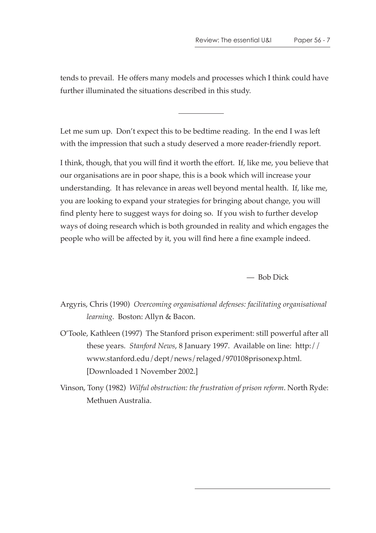tends to prevail. He offers many models and processes which I think could have further illuminated the situations described in this study.

Let me sum up. Don't expect this to be bedtime reading. In the end I was left with the impression that such a study deserved a more reader-friendly report.

I think, though, that you will find it worth the effort. If, like me, you believe that our organisations are in poor shape, this is a book which will increase your understanding. It has relevance in areas well beyond mental health. If, like me, you are looking to expand your strategies for bringing about change, you will find plenty here to suggest ways for doing so. If you wish to further develop ways of doing research which is both grounded in reality and which engages the people who will be affected by it, you will find here a fine example indeed.

— Bob Dick

Argyris, Chris (1990) *Overcoming organisational defenses: facilitating organisational learning*. Boston: Allyn & Bacon.

O'Toole, Kathleen (1997) The Stanford prison experiment: still powerful after all these years. *Stanford News*, 8 January 1997. Available on line: http:// www.stanford.edu/dept/news/relaged/970108prisonexp.html. [Downloaded 1 November 2002.]

Vinson, Tony (1982) *Wilful obstruction: the frustration of prison reform*. North Ryde: Methuen Australia.